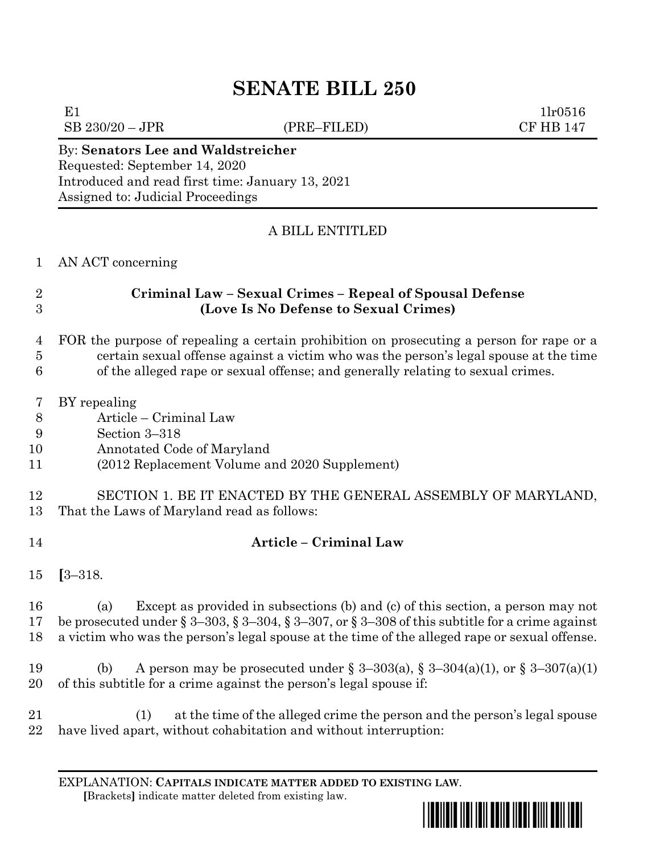# **SENATE BILL 250**

 $SB\ 230/20 - JPR$  (PRE–FILED) CF HB 147

E1  $1\text{lr}0516$ 

#### By: **Senators Lee and Waldstreicher** Requested: September 14, 2020 Introduced and read first time: January 13, 2021 Assigned to: Judicial Proceedings

# A BILL ENTITLED

### AN ACT concerning

## **Criminal Law – Sexual Crimes – Repeal of Spousal Defense (Love Is No Defense to Sexual Crimes)**

#### FOR the purpose of repealing a certain prohibition on prosecuting a person for rape or a certain sexual offense against a victim who was the person's legal spouse at the time of the alleged rape or sexual offense; and generally relating to sexual crimes.

- BY repealing
- Article Criminal Law
- Section 3–318
- Annotated Code of Maryland
- (2012 Replacement Volume and 2020 Supplement)
- SECTION 1. BE IT ENACTED BY THE GENERAL ASSEMBLY OF MARYLAND,
- That the Laws of Maryland read as follows:
- **Article – Criminal Law**
- **[**3–318.

 (a) Except as provided in subsections (b) and (c) of this section, a person may not be prosecuted under § 3–303, § 3–304, § 3–307, or § 3–308 of this subtitle for a crime against a victim who was the person's legal spouse at the time of the alleged rape or sexual offense.

19 (b) A person may be prosecuted under  $\S 3-303(a)$ ,  $\S 3-304(a)(1)$ , or  $\S 3-307(a)(1)$ of this subtitle for a crime against the person's legal spouse if:

 (1) at the time of the alleged crime the person and the person's legal spouse have lived apart, without cohabitation and without interruption:

EXPLANATION: **CAPITALS INDICATE MATTER ADDED TO EXISTING LAW**.  **[**Brackets**]** indicate matter deleted from existing law.